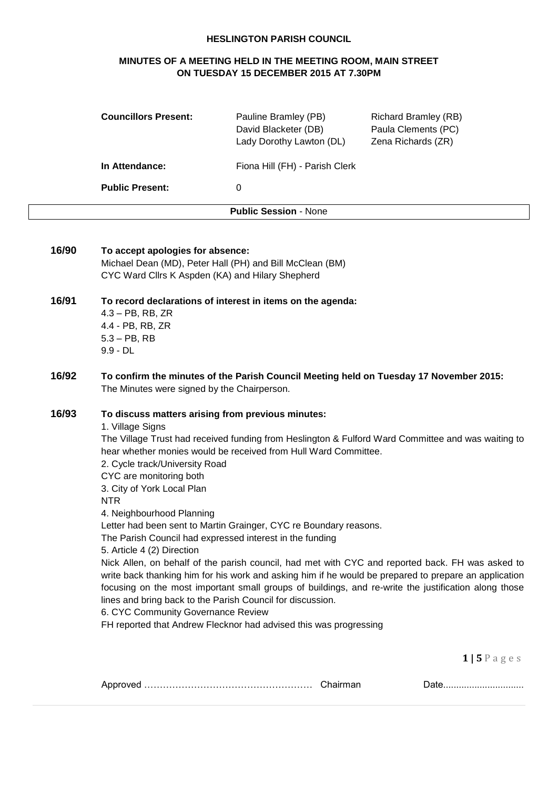#### **HESLINGTON PARISH COUNCIL**

## **MINUTES OF A MEETING HELD IN THE MEETING ROOM, MAIN STREET ON TUESDAY 15 DECEMBER 2015 AT 7.30PM**

| <b>Councillors Present:</b> | Pauline Bramley (PB)<br>David Blacketer (DB)<br>Lady Dorothy Lawton (DL) | <b>Richard Bramley (RB)</b><br>Paula Clements (PC)<br>Zena Richards (ZR) |
|-----------------------------|--------------------------------------------------------------------------|--------------------------------------------------------------------------|
| In Attendance:              | Fiona Hill (FH) - Parish Clerk                                           |                                                                          |
| <b>Public Present:</b>      | 0                                                                        |                                                                          |
|                             | <b>Public Session - None</b>                                             |                                                                          |

| 16/90 | To accept apologies for absence:<br>Michael Dean (MD), Peter Hall (PH) and Bill McClean (BM)<br>CYC Ward Cllrs K Aspden (KA) and Hilary Shepherd                                                                                                                                                                                                                                                                                                                                                                                                                                                                                                                                                                                                                                                                                                                                                                                                                                                                                                  |
|-------|---------------------------------------------------------------------------------------------------------------------------------------------------------------------------------------------------------------------------------------------------------------------------------------------------------------------------------------------------------------------------------------------------------------------------------------------------------------------------------------------------------------------------------------------------------------------------------------------------------------------------------------------------------------------------------------------------------------------------------------------------------------------------------------------------------------------------------------------------------------------------------------------------------------------------------------------------------------------------------------------------------------------------------------------------|
| 16/91 | To record declarations of interest in items on the agenda:<br>$4.3 - PB$ , RB, ZR<br>4.4 - PB, RB, ZR<br>$5.3 - PB$ , RB<br>$9.9 - DL$                                                                                                                                                                                                                                                                                                                                                                                                                                                                                                                                                                                                                                                                                                                                                                                                                                                                                                            |
| 16/92 | To confirm the minutes of the Parish Council Meeting held on Tuesday 17 November 2015:<br>The Minutes were signed by the Chairperson.                                                                                                                                                                                                                                                                                                                                                                                                                                                                                                                                                                                                                                                                                                                                                                                                                                                                                                             |
| 16/93 | To discuss matters arising from previous minutes:<br>1. Village Signs<br>The Village Trust had received funding from Heslington & Fulford Ward Committee and was waiting to<br>hear whether monies would be received from Hull Ward Committee.<br>2. Cycle track/University Road<br>CYC are monitoring both<br>3. City of York Local Plan<br><b>NTR</b><br>4. Neighbourhood Planning<br>Letter had been sent to Martin Grainger, CYC re Boundary reasons.<br>The Parish Council had expressed interest in the funding<br>5. Article 4 (2) Direction<br>Nick Allen, on behalf of the parish council, had met with CYC and reported back. FH was asked to<br>write back thanking him for his work and asking him if he would be prepared to prepare an application<br>focusing on the most important small groups of buildings, and re-write the justification along those<br>lines and bring back to the Parish Council for discussion.<br>6. CYC Community Governance Review<br>FH reported that Andrew Flecknor had advised this was progressing |
|       | $1 \mid 5 \mid$ P a g e s                                                                                                                                                                                                                                                                                                                                                                                                                                                                                                                                                                                                                                                                                                                                                                                                                                                                                                                                                                                                                         |
|       | Date                                                                                                                                                                                                                                                                                                                                                                                                                                                                                                                                                                                                                                                                                                                                                                                                                                                                                                                                                                                                                                              |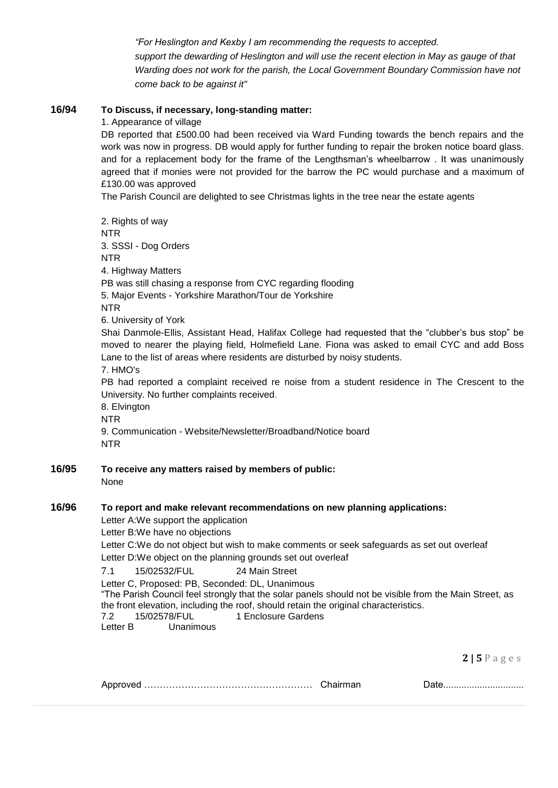*"For Heslington and Kexby I am recommending the requests to accepted. support the dewarding of Heslington and will use the recent election in May as gauge of that Warding does not work for the parish, the Local Government Boundary Commission have not come back to be against it"*

## **16/94 To Discuss, if necessary, long-standing matter:**

1. Appearance of village

DB reported that £500.00 had been received via Ward Funding towards the bench repairs and the work was now in progress. DB would apply for further funding to repair the broken notice board glass. and for a replacement body for the frame of the Lengthsman's wheelbarrow . It was unanimously agreed that if monies were not provided for the barrow the PC would purchase and a maximum of £130.00 was approved

The Parish Council are delighted to see Christmas lights in the tree near the estate agents

2. Rights of way NTR 3. SSSI - Dog Orders NTR 4. Highway Matters PB was still chasing a response from CYC regarding flooding 5. Major Events - Yorkshire Marathon/Tour de Yorkshire NTR 6. University of York Shai Danmole-Ellis, Assistant Head, Halifax College had requested that the "clubber's bus stop" be moved to nearer the playing field, Holmefield Lane. Fiona was asked to email CYC and add Boss Lane to the list of areas where residents are disturbed by noisy students. 7. HMO's PB had reported a complaint received re noise from a student residence in The Crescent to the University. No further complaints received. 8. Elvington NTR 9. Communication - Website/Newsletter/Broadband/Notice board NTR **16/95 To receive any matters raised by members of public:** None **16/96 To report and make relevant recommendations on new planning applications:** Letter A:We support the application Letter B:We have no objections

Letter C:We do not object but wish to make comments or seek safeguards as set out overleaf

Letter D:We object on the planning grounds set out overleaf

7.1 15/02532/FUL 24 Main Street

Letter C, Proposed: PB, Seconded: DL, Unanimous "The Parish Council feel strongly that the solar panels should not be visible from the Main Street, as the front elevation, including the roof, should retain the original characteristics. 7.2 15/02578/FUL 1 Enclosure Gardens

Letter B Unanimous

**2 | 5** P a g e s

| ▵ |  |
|---|--|
|---|--|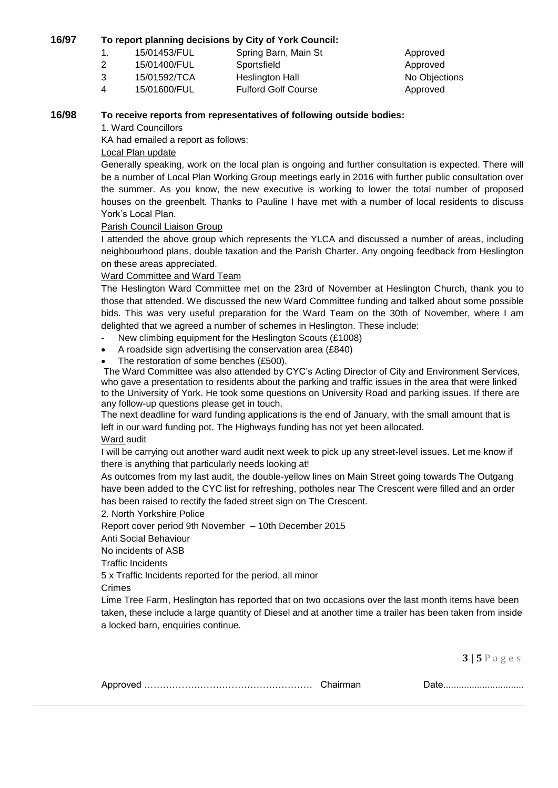#### **16/97 To report planning decisions by City of York Council:**

- 1. 15/01453/FUL Spring Barn, Main St Approved
- 2 15/01400/FUL Sportsfield Approved
- 3 15/01592/TCA Heslington Hall No Objections

4 15/01600/FUL Fulford Golf Course Approved

#### **16/98 To receive reports from representatives of following outside bodies:**

1. Ward Councillors

KA had emailed a report as follows:

### Local Plan update

Generally speaking, work on the local plan is ongoing and further consultation is expected. There will be a number of Local Plan Working Group meetings early in 2016 with further public consultation over the summer. As you know, the new executive is working to lower the total number of proposed houses on the greenbelt. Thanks to Pauline I have met with a number of local residents to discuss York's Local Plan.

#### Parish Council Liaison Group

I attended the above group which represents the YLCA and discussed a number of areas, including neighbourhood plans, double taxation and the Parish Charter. Any ongoing feedback from Heslington on these areas appreciated.

#### Ward Committee and Ward Team

The Heslington Ward Committee met on the 23rd of November at Heslington Church, thank you to those that attended. We discussed the new Ward Committee funding and talked about some possible bids. This was very useful preparation for the Ward Team on the 30th of November, where I am delighted that we agreed a number of schemes in Heslington. These include:

- New climbing equipment for the Heslington Scouts (£1008)
- A roadside sign advertising the conservation area (£840)
- The restoration of some benches (£500).

The Ward Committee was also attended by CYC's Acting Director of City and Environment Services, who gave a presentation to residents about the parking and traffic issues in the area that were linked to the University of York. He took some questions on University Road and parking issues. If there are any follow-up questions please get in touch.

The next deadline for ward funding applications is the end of January, with the small amount that is left in our ward funding pot. The Highways funding has not yet been allocated.

Ward audit

I will be carrying out another ward audit next week to pick up any street-level issues. Let me know if there is anything that particularly needs looking at!

As outcomes from my last audit, the double-yellow lines on Main Street going towards The Outgang have been added to the CYC list for refreshing, potholes near The Crescent were filled and an order has been raised to rectify the faded street sign on The Crescent.

2. North Yorkshire Police

Report cover period 9th November – 10th December 2015

Anti Social Behaviour

No incidents of ASB

Traffic Incidents

5 x Traffic Incidents reported for the period, all minor

Crimes

Lime Tree Farm, Heslington has reported that on two occasions over the last month items have been taken, these include a large quantity of Diesel and at another time a trailer has been taken from inside a locked barn, enquiries continue.

**3 | 5** P a g e s

|--|--|--|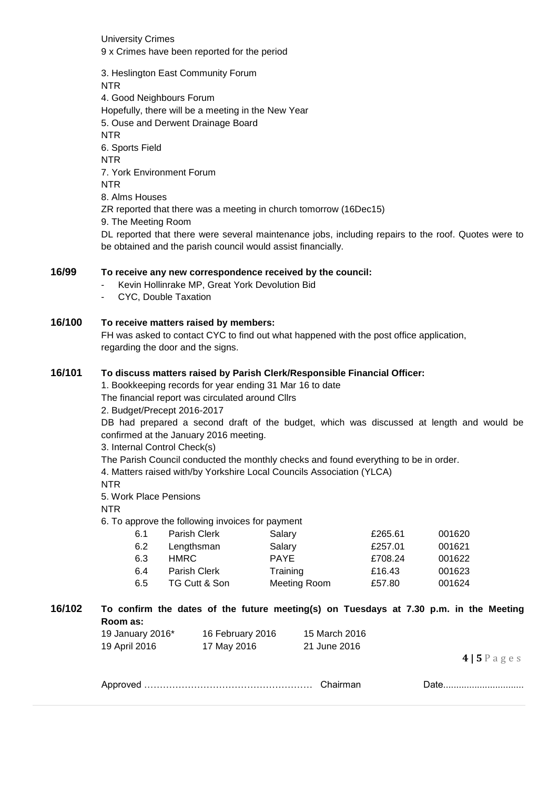University Crimes 9 x Crimes have been reported for the period

3. Heslington East Community Forum NTR 4. Good Neighbours Forum Hopefully, there will be a meeting in the New Year 5. Ouse and Derwent Drainage Board NTR 6. Sports Field NTR 7. York Environment Forum NTR 8. Alms Houses ZR reported that there was a meeting in church tomorrow (16Dec15) 9. The Meeting Room DL reported that there were several maintenance jobs, including repairs to the roof. Quotes were to be obtained and the parish council would assist financially.

## **16/99 To receive any new correspondence received by the council:**

- Kevin Hollinrake MP, Great York Devolution Bid
- CYC, Double Taxation

#### **16/100 To receive matters raised by members:**

FH was asked to contact CYC to find out what happened with the post office application, regarding the door and the signs.

#### **16/101 To discuss matters raised by Parish Clerk/Responsible Financial Officer:**

1. Bookkeeping records for year ending 31 Mar 16 to date

The financial report was circulated around Cllrs

2. Budget/Precept 2016-2017

DB had prepared a second draft of the budget, which was discussed at length and would be confirmed at the January 2016 meeting.

3. Internal Control Check(s)

The Parish Council conducted the monthly checks and found everything to be in order.

4. Matters raised with/by Yorkshire Local Councils Association (YLCA)

NTR

5. Work Place Pensions

NTR

6. To approve the following invoices for payment

| 6.1 | Parish Clerk  | Salary       | £265.61 | 001620 |
|-----|---------------|--------------|---------|--------|
| 6.2 | Lengthsman    | Salary       | £257.01 | 001621 |
| 6.3 | HMRC.         | <b>PAYE</b>  | £708.24 | 001622 |
| 6.4 | Parish Clerk  | Training     | £16.43  | 001623 |
| 6.5 | TG Cutt & Son | Meeting Room | £57.80  | 001624 |

**16/102 To confirm the dates of the future meeting(s) on Tuesdays at 7.30 p.m. in the Meeting Room as:**     19 January 2016\* 16 February 2016 15 March 2016

|               | .           |              |
|---------------|-------------|--------------|
| 19 April 2016 | 17 May 2016 | 21 June 2016 |
|               |             |              |

**4 | 5** P a g e s